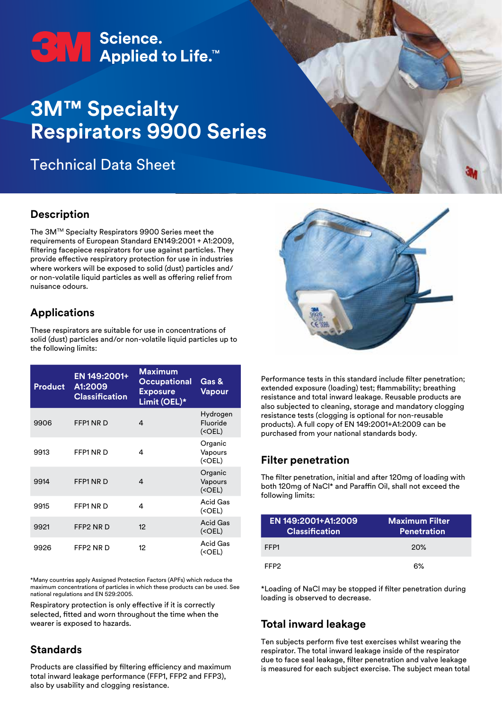# ←<br>
STV Bcience.<br>
Applied to Life.™

## **3M™ Specialty Respirators 9900 Series**

Technical Data Sheet

#### **Description**

The 3MTM Specialty Respirators 9900 Series meet the requirements of European Standard EN149:2001 + A1:2009, filtering facepiece respirators for use against particles. They provide effective respiratory protection for use in industries where workers will be exposed to solid (dust) particles and/ or non-volatile liquid particles as well as offering relief from nuisance odours.

#### **Applications**

These respirators are suitable for use in concentrations of solid (dust) particles and/or non-volatile liquid particles up to the following limits:

| <b>Product</b> | EN 149:2001+<br>A1:2009<br><b>Classification</b> | <b>Maximum</b><br><b>Occupational</b><br><b>Exposure</b><br>Limit (OEL)* | Gas &<br><b>Vapour</b>             |
|----------------|--------------------------------------------------|--------------------------------------------------------------------------|------------------------------------|
| 9906           | FFP1 NR D                                        | 4                                                                        | Hydrogen<br>Fluoride<br>$(<$ OEL)  |
| 9913           | FFP1 NR D                                        | 4                                                                        | Organic<br>Vapours<br>$(<$ OEL)    |
| 9914           | FFP1 NR D                                        | 4                                                                        | Organic<br>Vapours<br>$(<$ OEL $)$ |
| 9915           | FFP1 NR D                                        | 4                                                                        | <b>Acid Gas</b><br>$(<$ OEL)       |
| 9921           | FFP2 NR D                                        | 12                                                                       | Acid Gas<br>$(<$ OEL)              |
| 9926           | FFP2 NR D                                        | 12                                                                       | Acid Gas<br>$(<$ OEL)              |

\*Many countries apply Assigned Protection Factors (APFs) which reduce the maximum concentrations of particles in which these products can be used. See national regulations and EN 529:2005.

Respiratory protection is only effective if it is correctly selected, fitted and worn throughout the time when the wearer is exposed to hazards.

#### **Standards**

Products are classified by filtering efficiency and maximum total inward leakage performance (FFP1, FFP2 and FFP3), also by usability and clogging resistance.



Performance tests in this standard include filter penetration; extended exposure (loading) test; flammability; breathing resistance and total inward leakage. Reusable products are also subjected to cleaning, storage and mandatory clogging resistance tests (clogging is optional for non-reusable products). A full copy of EN 149:2001+A1:2009 can be purchased from your national standards body.

#### **Filter penetration**

The filter penetration, initial and after 120mg of loading with both 120mg of NaCl\* and Paraffin Oil, shall not exceed the following limits:

| EN 149:2001+A1:2009<br><b>Classification</b> | <b>Maximum Filter</b><br><b>Penetration</b> |
|----------------------------------------------|---------------------------------------------|
| FFP1                                         | 20%                                         |
| FFP2                                         | 6%                                          |

\*Loading of NaCl may be stopped if filter penetration during loading is observed to decrease.

#### **Total inward leakage**

Ten subjects perform five test exercises whilst wearing the respirator. The total inward leakage inside of the respirator due to face seal leakage, filter penetration and valve leakage is measured for each subject exercise. The subject mean total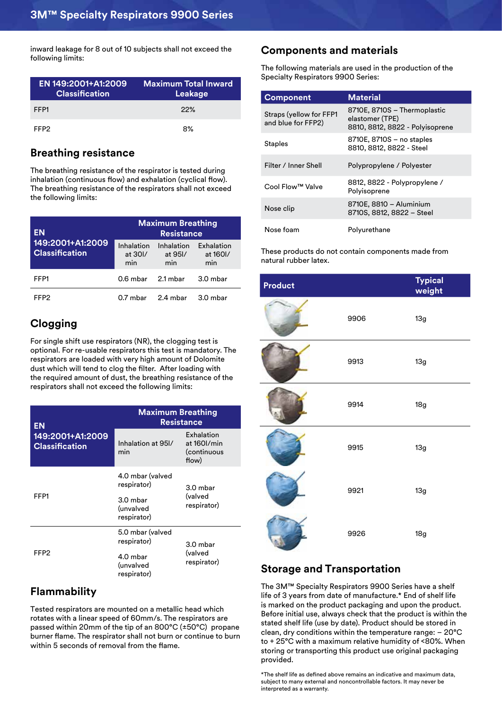inward leakage for 8 out of 10 subjects shall not exceed the following limits:

| EN 149:2001+A1:2009<br><b>Classification</b> | <b>Maximum Total Inward</b><br>Leakage |
|----------------------------------------------|----------------------------------------|
| FFP1                                         | 22%                                    |
| FFP2                                         | 8%                                     |

#### **Breathing resistance**

The breathing resistance of the respirator is tested during inhalation (continuous flow) and exhalation (cyclical flow). The breathing resistance of the respirators shall not exceed the following limits:

|                                                        |                                               |                              |                               |                                                              | ----------   |
|--------------------------------------------------------|-----------------------------------------------|------------------------------|-------------------------------|--------------------------------------------------------------|--------------|
| <b>EN</b><br>149:2001+A1:2009<br><b>Classification</b> | <b>Maximum Breathing</b><br><b>Resistance</b> |                              |                               | Nose foam                                                    | Polyurethane |
|                                                        | Inhalation<br>at 301/<br>min                  | Inhalation<br>at 951/<br>min | Exhalation<br>at 1601/<br>min | These products do not contain compo<br>natural rubber latex. |              |
| FFP1                                                   | 0.6 mbar                                      | 2.1 mbar                     | 3.0 mbar                      | Product                                                      |              |
| FFP <sub>2</sub>                                       | 0.7 mbar                                      | 2.4 mbar                     | 3.0 mbar                      |                                                              |              |

#### **Clogging**

For single shift use respirators (NR), the clogging test is optional. For re-usable respirators this test is mandatory. The respirators are loaded with very high amount of Dolomite dust which will tend to clog the filter. After loading with the required amount of dust, the breathing resistance of the respirators shall not exceed the following limits:

| EN                                        | <b>Maximum Breathing</b><br><b>Resistance</b> |                                                   |  |
|-------------------------------------------|-----------------------------------------------|---------------------------------------------------|--|
| 149:2001+A1:2009<br><b>Classification</b> | Inhalation at 951/<br>min                     | Exhalation<br>at 160l/min<br>(continuous<br>flow) |  |
|                                           | 4.0 mbar (valved<br>respirator)               | $3.0$ mbar                                        |  |
| FFP1                                      | 3.0 mbar<br>(unvalved<br>respirator)          | (valved<br>respirator)                            |  |
|                                           | 5.0 mbar (valved<br>respirator)               | 3.0 mbar                                          |  |
| FFP <sub>2</sub>                          | 4.0 mbar<br>(unvalved<br>respirator)          | (valved<br>respirator)                            |  |

#### **Flammability**

Tested respirators are mounted on a metallic head which rotates with a linear speed of 60mm/s. The respirators are passed within 20mm of the tip of an 800°C (±50°C) propane burner flame. The respirator shall not burn or continue to burn within 5 seconds of removal from the flame.

#### **Components and materials**

The following materials are used in the production of the Specialty Respirators 9900 Series:

| <b>Component</b>                              | <b>Material</b>                                                                    |
|-----------------------------------------------|------------------------------------------------------------------------------------|
| Straps (yellow for FFP1<br>and blue for FFP2) | 8710E, 8710S - Thermoplastic<br>elastomer (TPE)<br>8810, 8812, 8822 - Polyisoprene |
| <b>Staples</b>                                | 8710E, 8710S - no staples<br>8810, 8812, 8822 - Steel                              |
| Filter / Inner Shell                          | Polypropylene / Polyester                                                          |
| Cool Flow™ Valve                              | 8812, 8822 - Polypropylene /<br>Polyisoprene                                       |
| Nose clip                                     | 8710E, 8810 - Aluminium<br>8710S, 8812, 8822 - Steel                               |
| Nose foam                                     | Polyurethane                                                                       |

These products do not contain components made from natural rubber latex.

| <b>Product</b> |      | <b>Typical</b><br>weight |
|----------------|------|--------------------------|
|                | 9906 | 13g                      |
|                | 9913 | 13g                      |
|                | 9914 | 18g                      |
|                | 9915 | 13g                      |
|                | 9921 | 13g                      |
|                | 9926 | 18g                      |

#### **Storage and Transportation**

The 3M™ Specialty Respirators 9900 Series have a shelf life of 3 years from date of manufacture.\* End of shelf life is marked on the product packaging and upon the product. Before initial use, always check that the product is within the stated shelf life (use by date). Product should be stored in clean, dry conditions within the temperature range: – 20°C to + 25°C with a maximum relative humidity of <80%. When storing or transporting this product use original packaging provided.

\*The shelf life as defined above remains an indicative and maximum data, subject to many external and noncontrollable factors. It may never be interpreted as a warranty.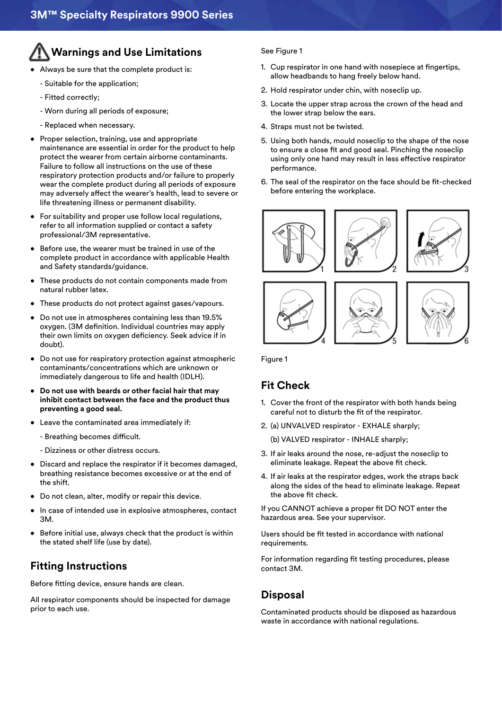### **Warnings and Use Limitations**

- Always be sure that the complete product is:
	- Suitable for the application;
	- Fitted correctly;
	- Worn during all periods of exposure;
	- Replaced when necessary.
- Proper selection, training, use and appropriate maintenance are essential in order for the product to help protect the wearer from certain airborne contaminants. Failure to follow all instructions on the use of these respiratory protection products and/or failure to properly wear the complete product during all periods of exposure may adversely affect the wearer's health, lead to severe or life threatening illness or permanent disability.
- For suitability and proper use follow local regulations, refer to all information supplied or contact a safety professional/3M representative.
- Before use, the wearer must be trained in use of the complete product in accordance with applicable Health and Safety standards/guidance.
- These products do not contain components made from natural rubber latex.
- These products do not protect against gases/vapours.
- Do not use in atmospheres containing less than 19.5% oxygen. (3M definition. Individual countries may apply their own limits on oxygen deficiency. Seek advice if in doubt).
- Do not use for respiratory protection against atmospheric contaminants/concentrations which are unknown or immediately dangerous to life and health (IDLH).
- **• Do not use with beards or other facial hair that may inhibit contact between the face and the product thus preventing a good seal.**
- Leave the contaminated area immediately if:
	- Breathing becomes difficult.
	- Dizziness or other distress occurs.
- Discard and replace the respirator if it becomes damaged, breathing resistance becomes excessive or at the end of the shift.
- Do not clean, alter, modify or repair this device.
- In case of intended use in explosive atmospheres, contact 3M.
- Before initial use, always check that the product is within the stated shelf life (use by date).

#### **Fitting Instructions**

Before fitting device, ensure hands are clean.

All respirator components should be inspected for damage prior to each use.

#### See Figure 1

- 1. Cup respirator in one hand with nosepiece at fingertips, allow headbands to hang freely below hand.
- 2. Hold respirator under chin, with noseclip up.
- 3. Locate the upper strap across the crown of the head and the lower strap below the ears.
- 4. Straps must not be twisted.
- 5. Using both hands, mould noseclip to the shape of the nose to ensure a close fit and good seal. Pinching the noseclip using only one hand may result in less effective respirator performance.
- 6. The seal of the respirator on the face should be fit-checked before entering the workplace.











Figure 1

#### **Fit Check**

- 1. Cover the front of the respirator with both hands being careful not to disturb the fit of the respirator.
- 2. (a) UNVALVED respirator EXHALE sharply;

(b) VALVED respirator - INHALE sharply;

- 3. If air leaks around the nose, re-adjust the noseclip to eliminate leakage. Repeat the above fit check.
- 4. If air leaks at the respirator edges, work the straps back along the sides of the head to eliminate leakage. Repeat the above fit check.

If you CANNOT achieve a proper fit DO NOT enter the hazardous area. See your supervisor.

Users should be fit tested in accordance with national requirements.

For information regarding fit testing procedures, please contact 3M.

#### **Disposal**

Contaminated products should be disposed as hazardous waste in accordance with national regulations.